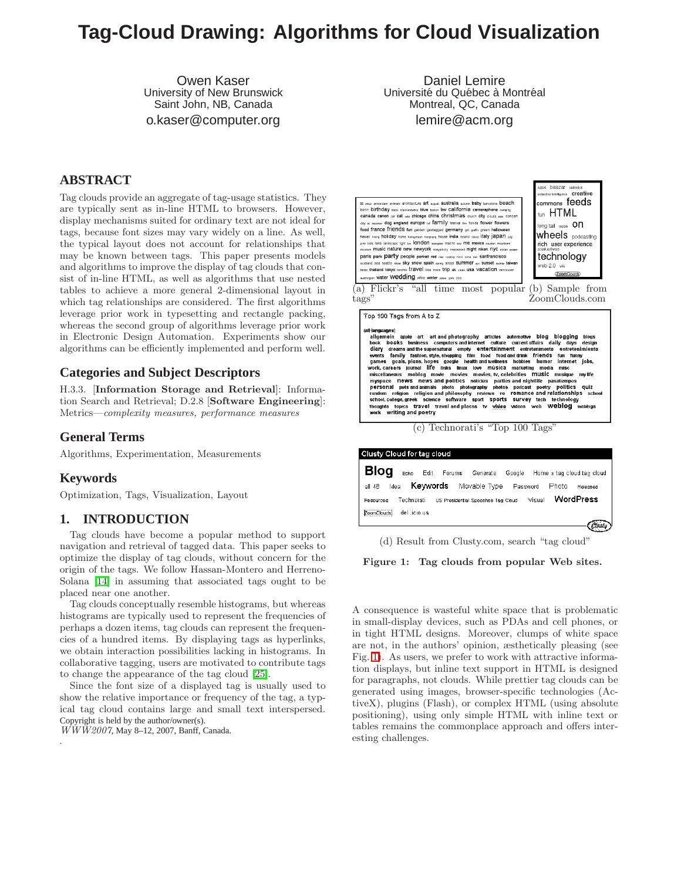# **Tag-Cloud Drawing: Algorithms for Cloud Visualization**

Owen Kaser University of New Brunswick Saint John, NB, Canada o.kaser@computer.org

Daniel Lemire Université du Québec à Montréal Montreal, QC, Canada lemire@acm.org

## **ABSTRACT**

Tag clouds provide an aggregate of tag-usage statistics. They are typically sent as in-line HTML to browsers. However, display mechanisms suited for ordinary text are not ideal for tags, because font sizes may vary widely on a line. As well, the typical layout does not account for relationships that may be known between tags. This paper presents models and algorithms to improve the display of tag clouds that consist of in-line HTML, as well as algorithms that use nested tables to achieve a more general 2-dimensional layout in which tag relationships are considered. The first algorithms leverage prior work in typesetting and rectangle packing, whereas the second group of algorithms leverage prior work in Electronic Design Automation. Experiments show our algorithms can be efficiently implemented and perform well.

## **Categories and Subject Descriptors**

H.3.3. [Information Storage and Retrieval]: Information Search and Retrieval; D.2.8 [Software Engineering]: Metrics—complexity measures, performance measures

## **General Terms**

Algorithms, Experimentation, Measurements

## **Keywords**

.

Optimization, Tags, Visualization, Layout

## **1. INTRODUCTION**

Tag clouds have become a popular method to support navigation and retrieval of tagged data. This paper seeks to optimize the display of tag clouds, without concern for the origin of the tags. We follow Hassan-Montero and Herreno-Solana [\[14\]](#page-9-0) in assuming that associated tags ought to be placed near one another.

Tag clouds conceptually resemble histograms, but whereas histograms are typically used to represent the frequencies of perhaps a dozen items, tag clouds can represent the frequencies of a hundred items. By displaying tags as hyperlinks, we obtain interaction possibilities lacking in histograms. In collaborative tagging, users are motivated to contribute tags to change the appearance of the tag cloud [\[25\]](#page-9-1).

Since the font size of a displayed tag is usually used to show the relative importance or frequency of the tag, a typical tag cloud contains large and small text interspersed. Copyright is held by the author/owner(s).

WWW2007, May 8–12, 2007, Banff, Canada.





tags" (b) Sample from ZoomClouds.com

Top 100 Tags from A to Z

#### (all languages)

altianguages)<br>
altianguages)<br>
altigensein apple art art and photography articles automotive blog blogging biogs<br>
altigentini pole art art and photography entertainment entertentiment on tertentimient<br>
book books business c scribed, contract and travel and places to video videos web Weblog weblogs<br>thoughts topics travel travel and places to video videos web Weblog weblogs<br>work writing and poetry

(c) Technorati's "Top 100 Tags"

| Clusty Cloud for tag cloud                                                                  |          |
|---------------------------------------------------------------------------------------------|----------|
| <b>Blog</b><br>Echo<br>Edit Forums<br>Generate<br>Google<br>Home » tag cloud tag cloud      |          |
| Keywords<br>Movable Type<br>Photo<br>all 48<br>Idea<br>Password                             | Released |
| <b>WordPress</b><br>Visual<br>Technorati<br>US Presidential Speeches Tag Cloud<br>Resources |          |
| <br>del .icio.us<br><b>ZoomClouds</b>                                                       |          |
|                                                                                             |          |

(d) Result from Clusty.com, search "tag cloud"

<span id="page-0-0"></span>Figure 1: Tag clouds from popular Web sites.

A consequence is wasteful white space that is problematic in small-display devices, such as PDAs and cell phones, or in tight HTML designs. Moreover, clumps of white space are not, in the authors' opinion, æsthetically pleasing (see Fig. [1\)](#page-0-0). As users, we prefer to work with attractive information displays, but inline text support in HTML is designed for paragraphs, not clouds. While prettier tag clouds can be generated using images, browser-specific technologies (ActiveX), plugins (Flash), or complex HTML (using absolute positioning), using only simple HTML with inline text or tables remains the commonplace approach and offers interesting challenges.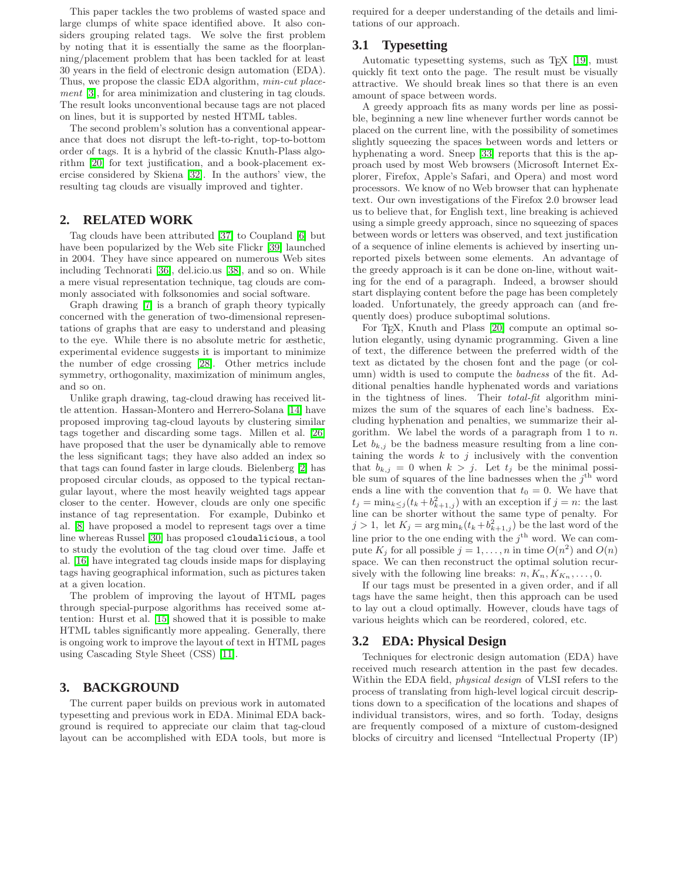This paper tackles the two problems of wasted space and large clumps of white space identified above. It also considers grouping related tags. We solve the first problem by noting that it is essentially the same as the floorplanning/placement problem that has been tackled for at least 30 years in the field of electronic design automation (EDA). Thus, we propose the classic EDA algorithm, min-cut placement [\[3\]](#page-9-2), for area minimization and clustering in tag clouds. The result looks unconventional because tags are not placed on lines, but it is supported by nested HTML tables.

The second problem's solution has a conventional appearance that does not disrupt the left-to-right, top-to-bottom order of tags. It is a hybrid of the classic Knuth-Plass algorithm [\[20\]](#page-9-3) for text justification, and a book-placement exercise considered by Skiena [\[32\]](#page-9-4). In the authors' view, the resulting tag clouds are visually improved and tighter.

## **2. RELATED WORK**

Tag clouds have been attributed [\[37\]](#page-9-5) to Coupland [\[6\]](#page-9-6) but have been popularized by the Web site Flickr [\[39\]](#page-9-7) launched in 2004. They have since appeared on numerous Web sites including Technorati [\[36\]](#page-9-8), del.icio.us [\[38\]](#page-9-9), and so on. While a mere visual representation technique, tag clouds are commonly associated with folksonomies and social software.

Graph drawing [\[7\]](#page-9-10) is a branch of graph theory typically concerned with the generation of two-dimensional representations of graphs that are easy to understand and pleasing to the eye. While there is no absolute metric for æsthetic, experimental evidence suggests it is important to minimize the number of edge crossing [\[28\]](#page-9-11). Other metrics include symmetry, orthogonality, maximization of minimum angles, and so on.

Unlike graph drawing, tag-cloud drawing has received little attention. Hassan-Montero and Herrero-Solana [\[14\]](#page-9-0) have proposed improving tag-cloud layouts by clustering similar tags together and discarding some tags. Millen et al. [\[26\]](#page-9-12) have proposed that the user be dynamically able to remove the less significant tags; they have also added an index so that tags can found faster in large clouds. Bielenberg [\[2\]](#page-8-0) has proposed circular clouds, as opposed to the typical rectangular layout, where the most heavily weighted tags appear closer to the center. However, clouds are only one specific instance of tag representation. For example, Dubinko et al. [\[8\]](#page-9-13) have proposed a model to represent tags over a time line whereas Russel [\[30\]](#page-9-14) has proposed cloudalicious, a tool to study the evolution of the tag cloud over time. Jaffe et al. [\[16\]](#page-9-15) have integrated tag clouds inside maps for displaying tags having geographical information, such as pictures taken at a given location.

The problem of improving the layout of HTML pages through special-purpose algorithms has received some attention: Hurst et al. [\[15\]](#page-9-16) showed that it is possible to make HTML tables significantly more appealing. Generally, there is ongoing work to improve the layout of text in HTML pages using Cascading Style Sheet (CSS) [\[11\]](#page-9-17).

## **3. BACKGROUND**

The current paper builds on previous work in automated typesetting and previous work in EDA. Minimal EDA background is required to appreciate our claim that tag-cloud layout can be accomplished with EDA tools, but more is required for a deeper understanding of the details and limitations of our approach.

## <span id="page-1-0"></span>**3.1 Typesetting**

Automatic typesetting systems, such as T<sub>E</sub>X [\[19\]](#page-9-18), must quickly fit text onto the page. The result must be visually attractive. We should break lines so that there is an even amount of space between words.

A greedy approach fits as many words per line as possible, beginning a new line whenever further words cannot be placed on the current line, with the possibility of sometimes slightly squeezing the spaces between words and letters or hyphenating a word. Sneep [\[33\]](#page-9-19) reports that this is the approach used by most Web browsers (Microsoft Internet Explorer, Firefox, Apple's Safari, and Opera) and most word processors. We know of no Web browser that can hyphenate text. Our own investigations of the Firefox 2.0 browser lead us to believe that, for English text, line breaking is achieved using a simple greedy approach, since no squeezing of spaces between words or letters was observed, and text justification of a sequence of inline elements is achieved by inserting unreported pixels between some elements. An advantage of the greedy approach is it can be done on-line, without waiting for the end of a paragraph. Indeed, a browser should start displaying content before the page has been completely loaded. Unfortunately, the greedy approach can (and frequently does) produce suboptimal solutions.

For T<sub>E</sub>X, Knuth and Plass [\[20\]](#page-9-3) compute an optimal solution elegantly, using dynamic programming. Given a line of text, the difference between the preferred width of the text as dictated by the chosen font and the page (or column) width is used to compute the badness of the fit. Additional penalties handle hyphenated words and variations in the tightness of lines. Their total-fit algorithm minimizes the sum of the squares of each line's badness. Excluding hyphenation and penalties, we summarize their algorithm. We label the words of a paragraph from  $1$  to  $n$ . Let  $b_{k,j}$  be the badness measure resulting from a line containing the words  $k$  to  $j$  inclusively with the convention that  $b_{k,j} = 0$  when  $k > j$ . Let  $t_j$  be the minimal possible sum of squares of the line badnesses when the  $j^{\text{th}}$  word ends a line with the convention that  $t_0 = 0$ . We have that  $t_j = \min_{k \leq j} (t_k + b_{k+1,j}^2)$  with an exception if  $j = n$ : the last line can be shorter without the same type of penalty. For  $j > 1$ , let  $K_j = \arg \min_k (t_k + b_{k+1,j}^2)$  be the last word of the line prior to the one ending with the  $j^{\text{th}}$  word. We can compute  $K_j$  for all possible  $j = 1, ..., n$  in time  $O(n^2)$  and  $O(n)$ space. We can then reconstruct the optimal solution recursively with the following line breaks:  $n, K_n, K_{K_n}, \ldots, 0$ .

If our tags must be presented in a given order, and if all tags have the same height, then this approach can be used to lay out a cloud optimally. However, clouds have tags of various heights which can be reordered, colored, etc.

## **3.2 EDA: Physical Design**

Techniques for electronic design automation (EDA) have received much research attention in the past few decades. Within the EDA field, physical design of VLSI refers to the process of translating from high-level logical circuit descriptions down to a specification of the locations and shapes of individual transistors, wires, and so forth. Today, designs are frequently composed of a mixture of custom-designed blocks of circuitry and licensed "Intellectual Property (IP)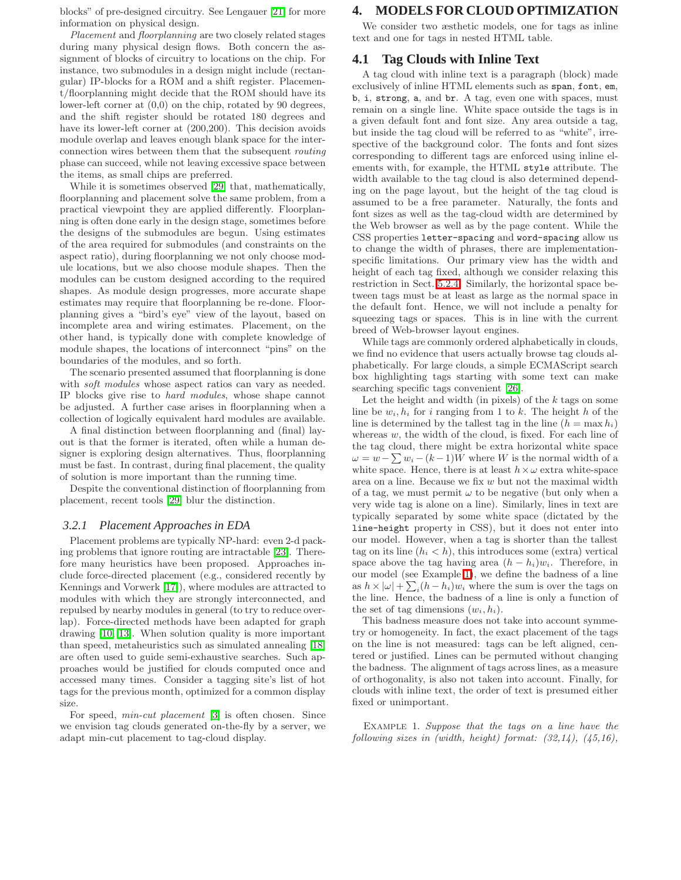blocks" of pre-designed circuitry. See Lengauer [\[21\]](#page-9-20) for more information on physical design.

Placement and floorplanning are two closely related stages during many physical design flows. Both concern the assignment of blocks of circuitry to locations on the chip. For instance, two submodules in a design might include (rectangular) IP-blocks for a ROM and a shift register. Placement/floorplanning might decide that the ROM should have its lower-left corner at (0,0) on the chip, rotated by 90 degrees, and the shift register should be rotated 180 degrees and have its lower-left corner at  $(200,200)$ . This decision avoids module overlap and leaves enough blank space for the interconnection wires between them that the subsequent routing phase can succeed, while not leaving excessive space between the items, as small chips are preferred.

While it is sometimes observed [\[29\]](#page-9-21) that, mathematically, floorplanning and placement solve the same problem, from a practical viewpoint they are applied differently. Floorplanning is often done early in the design stage, sometimes before the designs of the submodules are begun. Using estimates of the area required for submodules (and constraints on the aspect ratio), during floorplanning we not only choose module locations, but we also choose module shapes. Then the modules can be custom designed according to the required shapes. As module design progresses, more accurate shape estimates may require that floorplanning be re-done. Floorplanning gives a "bird's eye" view of the layout, based on incomplete area and wiring estimates. Placement, on the other hand, is typically done with complete knowledge of module shapes, the locations of interconnect "pins" on the boundaries of the modules, and so forth.

The scenario presented assumed that floorplanning is done with *soft modules* whose aspect ratios can vary as needed. IP blocks give rise to hard modules, whose shape cannot be adjusted. A further case arises in floorplanning when a collection of logically equivalent hard modules are available.

A final distinction between floorplanning and (final) layout is that the former is iterated, often while a human designer is exploring design alternatives. Thus, floorplanning must be fast. In contrast, during final placement, the quality of solution is more important than the running time.

Despite the conventional distinction of floorplanning from placement, recent tools [\[29\]](#page-9-21) blur the distinction.

#### *3.2.1 Placement Approaches in EDA*

Placement problems are typically NP-hard: even 2-d packing problems that ignore routing are intractable [\[23\]](#page-9-22). Therefore many heuristics have been proposed. Approaches include force-directed placement (e.g., considered recently by Kennings and Vorwerk [\[17\]](#page-9-23)), where modules are attracted to modules with which they are strongly interconnected, and repulsed by nearby modules in general (to try to reduce overlap). Force-directed methods have been adapted for graph drawing [\[10,](#page-9-24) [13\]](#page-9-25). When solution quality is more important than speed, metaheuristics such as simulated annealing [\[18\]](#page-9-26) are often used to guide semi-exhaustive searches. Such approaches would be justified for clouds computed once and accessed many times. Consider a tagging site's list of hot tags for the previous month, optimized for a common display size.

For speed, min-cut placement [\[3\]](#page-9-2) is often chosen. Since we envision tag clouds generated on-the-fly by a server, we adapt min-cut placement to tag-cloud display.

#### **4. MODELS FOR CLOUD OPTIMIZATION**

We consider two æsthetic models, one for tags as inline text and one for tags in nested HTML table.

#### <span id="page-2-1"></span>**4.1 Tag Clouds with Inline Text**

A tag cloud with inline text is a paragraph (block) made exclusively of inline HTML elements such as span, font, em, b, i, strong, a, and br. A tag, even one with spaces, must remain on a single line. White space outside the tags is in a given default font and font size. Any area outside a tag, but inside the tag cloud will be referred to as "white", irrespective of the background color. The fonts and font sizes corresponding to different tags are enforced using inline elements with, for example, the HTML style attribute. The width available to the tag cloud is also determined depending on the page layout, but the height of the tag cloud is assumed to be a free parameter. Naturally, the fonts and font sizes as well as the tag-cloud width are determined by the Web browser as well as by the page content. While the CSS properties letter-spacing and word-spacing allow us to change the width of phrases, there are implementationspecific limitations. Our primary view has the width and height of each tag fixed, although we consider relaxing this restriction in Sect. [5.2.4.](#page-5-0) Similarly, the horizontal space between tags must be at least as large as the normal space in the default font. Hence, we will not include a penalty for squeezing tags or spaces. This is in line with the current breed of Web-browser layout engines.

While tags are commonly ordered alphabetically in clouds, we find no evidence that users actually browse tag clouds alphabetically. For large clouds, a simple ECMAScript search box highlighting tags starting with some text can make searching specific tags convenient [\[26\]](#page-9-12).

Let the height and width (in pixels) of the  $k$  tags on some line be  $w_i, h_i$  for i ranging from 1 to k. The height h of the line is determined by the tallest tag in the line  $(h = \max h_i)$ whereas  $w$ , the width of the cloud, is fixed. For each line of the tag cloud, there might be extra horizontal white space  $\omega = w - \sum w_i - (k-1)W$  where W is the normal width of a white space. Hence, there is at least  $h \times \omega$  extra white-space area on a line. Because we fix  $w$  but not the maximal width of a tag, we must permit  $\omega$  to be negative (but only when a very wide tag is alone on a line). Similarly, lines in text are typically separated by some white space (dictated by the line-height property in CSS), but it does not enter into our model. However, when a tag is shorter than the tallest tag on its line  $(h_i < h)$ , this introduces some (extra) vertical space above the tag having area  $(h - h_i)w_i$ . Therefore, in our model (see Example [1\)](#page-2-0), we define the badness of a line as  $h \times |\omega| + \sum_i (h - h_i) w_i$  where the sum is over the tags on the line. Hence, the badness of a line is only a function of the set of tag dimensions  $(w_i, h_i)$ .

This badness measure does not take into account symmetry or homogeneity. In fact, the exact placement of the tags on the line is not measured: tags can be left aligned, centered or justified. Lines can be permuted without changing the badness. The alignment of tags across lines, as a measure of orthogonality, is also not taken into account. Finally, for clouds with inline text, the order of text is presumed either fixed or unimportant.

<span id="page-2-0"></span>Example 1. Suppose that the tags on a line have the following sizes in (width, height) format:  $(32,14)$ ,  $(45,16)$ ,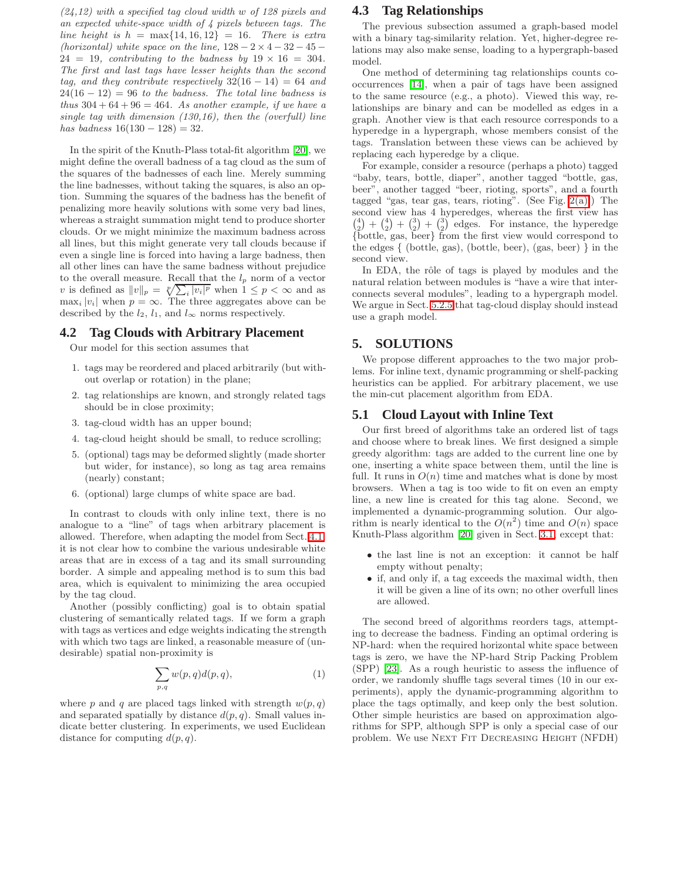$(24, 12)$  with a specified tag cloud width w of 128 pixels and an expected white-space width of 4 pixels between tags. The line height is  $h = \max\{14, 16, 12\} = 16$ . There is extra (horizontal) white space on the line,  $128 - 2 \times 4 - 32 - 45$  $24 = 19$ , contributing to the badness by  $19 \times 16 = 304$ . The first and last tags have lesser heights than the second tag, and they contribute respectively  $32(16 - 14) = 64$  and  $24(16 - 12) = 96$  to the badness. The total line badness is thus  $304 + 64 + 96 = 464$ . As another example, if we have a single tag with dimension (130,16), then the (overfull) line has badness  $16(130 - 128) = 32$ .

In the spirit of the Knuth-Plass total-fit algorithm [\[20\]](#page-9-3), we might define the overall badness of a tag cloud as the sum of the squares of the badnesses of each line. Merely summing the line badnesses, without taking the squares, is also an option. Summing the squares of the badness has the benefit of penalizing more heavily solutions with some very bad lines, whereas a straight summation might tend to produce shorter clouds. Or we might minimize the maximum badness across all lines, but this might generate very tall clouds because if even a single line is forced into having a large badness, then all other lines can have the same badness without prejudice to the overall measure. Recall that the  $l_p$  norm of a vector v is defined as  $||v||_p = \sqrt[p]{\sum_i |v_i|^p}$  when  $1 \le p < \infty$  and as  $\max_i |v_i|$  when  $p = \infty$ . The three aggregates above can be described by the  $l_2$ ,  $l_1$ , and  $l_{\infty}$  norms respectively.

## **4.2 Tag Clouds with Arbitrary Placement**

Our model for this section assumes that

- 1. tags may be reordered and placed arbitrarily (but without overlap or rotation) in the plane;
- 2. tag relationships are known, and strongly related tags should be in close proximity;
- 3. tag-cloud width has an upper bound;
- 4. tag-cloud height should be small, to reduce scrolling;
- 5. (optional) tags may be deformed slightly (made shorter but wider, for instance), so long as tag area remains (nearly) constant;
- 6. (optional) large clumps of white space are bad.

In contrast to clouds with only inline text, there is no analogue to a "line" of tags when arbitrary placement is allowed. Therefore, when adapting the model from Sect. [4.1,](#page-2-1) it is not clear how to combine the various undesirable white areas that are in excess of a tag and its small surrounding border. A simple and appealing method is to sum this bad area, which is equivalent to minimizing the area occupied by the tag cloud.

Another (possibly conflicting) goal is to obtain spatial clustering of semantically related tags. If we form a graph with tags as vertices and edge weights indicating the strength with which two tags are linked, a reasonable measure of (undesirable) spatial non-proximity is

$$
\sum_{p,q} w(p,q)d(p,q),\tag{1}
$$

<span id="page-3-0"></span>where p and q are placed tags linked with strength  $w(p, q)$ and separated spatially by distance  $d(p, q)$ . Small values indicate better clustering. In experiments, we used Euclidean distance for computing  $d(p,q)$ .

## **4.3 Tag Relationships**

The previous subsection assumed a graph-based model with a binary tag-similarity relation. Yet, higher-degree relations may also make sense, loading to a hypergraph-based model.

One method of determining tag relationships counts cooccurrences [\[14\]](#page-9-0), when a pair of tags have been assigned to the same resource (e.g., a photo). Viewed this way, relationships are binary and can be modelled as edges in a graph. Another view is that each resource corresponds to a hyperedge in a hypergraph, whose members consist of the tags. Translation between these views can be achieved by replacing each hyperedge by a clique.

For example, consider a resource (perhaps a photo) tagged "baby, tears, bottle, diaper", another tagged "bottle, gas, beer", another tagged "beer, rioting, sports", and a fourth tagged "gas, tear gas, tears, rioting". (See Fig. [2\(a\).](#page-4-0)) The second view has 4 hyperedges, whereas the first view has  $\binom{4}{2} + \binom{4}{2} + \binom{3}{2}$  edges. For instance, the hyperedge {bottle, gas, beer} from the first view would correspond to the edges { (bottle, gas), (bottle, beer), (gas, beer) } in the second view.

In EDA, the rôle of tags is played by modules and the natural relation between modules is "have a wire that interconnects several modules", leading to a hypergraph model. We argue in Sect. [5.2.5](#page-5-1) that tag-cloud display should instead use a graph model.

### **5. SOLUTIONS**

We propose different approaches to the two major problems. For inline text, dynamic programming or shelf-packing heuristics can be applied. For arbitrary placement, we use the min-cut placement algorithm from EDA.

#### **5.1 Cloud Layout with Inline Text**

Our first breed of algorithms take an ordered list of tags and choose where to break lines. We first designed a simple greedy algorithm: tags are added to the current line one by one, inserting a white space between them, until the line is full. It runs in  $O(n)$  time and matches what is done by most browsers. When a tag is too wide to fit on even an empty line, a new line is created for this tag alone. Second, we implemented a dynamic-programming solution. Our algorithm is nearly identical to the  $O(n^2)$  time and  $O(n)$  space Knuth-Plass algorithm [\[20\]](#page-9-3) given in Sect. [3.1,](#page-1-0) except that:

- the last line is not an exception: it cannot be half empty without penalty;
- if, and only if, a tag exceeds the maximal width, then it will be given a line of its own; no other overfull lines are allowed.

The second breed of algorithms reorders tags, attempting to decrease the badness. Finding an optimal ordering is NP-hard: when the required horizontal white space between tags is zero, we have the NP-hard Strip Packing Problem (SPP) [\[23\]](#page-9-22). As a rough heuristic to assess the influence of order, we randomly shuffle tags several times (10 in our experiments), apply the dynamic-programming algorithm to place the tags optimally, and keep only the best solution. Other simple heuristics are based on approximation algorithms for SPP, although SPP is only a special case of our problem. We use NEXT FIT DECREASING HEIGHT (NFDH)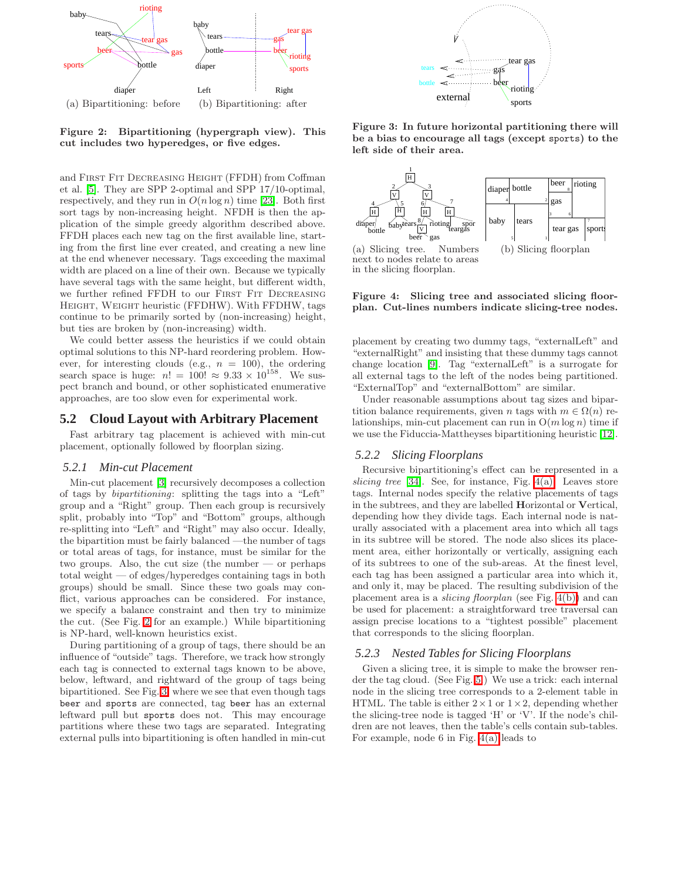<span id="page-4-0"></span>

<span id="page-4-1"></span>Figure 2: Bipartitioning (hypergraph view). This cut includes two hyperedges, or five edges.

and First Fit Decreasing Height (FFDH) from Coffman et al. [\[5\]](#page-9-27). They are SPP 2-optimal and SPP 17/10-optimal, respectively, and they run in  $O(n \log n)$  time [\[23\]](#page-9-22). Both first sort tags by non-increasing height. NFDH is then the application of the simple greedy algorithm described above. FFDH places each new tag on the first available line, starting from the first line ever created, and creating a new line at the end whenever necessary. Tags exceeding the maximal width are placed on a line of their own. Because we typically have several tags with the same height, but different width, we further refined FFDH to our FIRST FIT DECREASING Height, Weight heuristic (FFDHW). With FFDHW, tags continue to be primarily sorted by (non-increasing) height, but ties are broken by (non-increasing) width.

We could better assess the heuristics if we could obtain optimal solutions to this NP-hard reordering problem. However, for interesting clouds (e.g.,  $n = 100$ ), the ordering search space is huge:  $n! = 100! \approx 9.33 \times 10^{158}$ . We suspect branch and bound, or other sophisticated enumerative approaches, are too slow even for experimental work.

#### **5.2 Cloud Layout with Arbitrary Placement**

Fast arbitrary tag placement is achieved with min-cut placement, optionally followed by floorplan sizing.

#### *5.2.1 Min-cut Placement*

Min-cut placement [\[3\]](#page-9-2) recursively decomposes a collection of tags by bipartitioning: splitting the tags into a "Left" group and a "Right" group. Then each group is recursively split, probably into "Top" and "Bottom" groups, although re-splitting into "Left" and "Right" may also occur. Ideally, the bipartition must be fairly balanced —the number of tags or total areas of tags, for instance, must be similar for the two groups. Also, the cut size (the number  $-$  or perhaps total weight — of edges/hyperedges containing tags in both groups) should be small. Since these two goals may conflict, various approaches can be considered. For instance, we specify a balance constraint and then try to minimize the cut. (See Fig. [2](#page-4-1) for an example.) While bipartitioning is NP-hard, well-known heuristics exist.

During partitioning of a group of tags, there should be an influence of "outside" tags. Therefore, we track how strongly each tag is connected to external tags known to be above, below, leftward, and rightward of the group of tags being bipartitioned. See Fig. [3,](#page-4-2) where we see that even though tags beer and sports are connected, tag beer has an external leftward pull but sports does not. This may encourage partitions where these two tags are separated. Integrating external pulls into bipartitioning is often handled in min-cut



<span id="page-4-2"></span>Figure 3: In future horizontal partitioning there will be a bias to encourage all tags (except sports) to the left side of their area.

<span id="page-4-3"></span>

<span id="page-4-4"></span>next to nodes relate to areas in the slicing floorplan.

Figure 4: Slicing tree and associated slicing floorplan. Cut-lines numbers indicate slicing-tree nodes.

placement by creating two dummy tags, "externalLeft" and "externalRight" and insisting that these dummy tags cannot change location [\[9\]](#page-9-28). Tag "externalLeft" is a surrogate for all external tags to the left of the nodes being partitioned. "ExternalTop" and "externalBottom" are similar.

Under reasonable assumptions about tag sizes and bipartition balance requirements, given n tags with  $m \in \Omega(n)$  relationships, min-cut placement can run in  $O(m \log n)$  time if we use the Fiduccia-Mattheyses bipartitioning heuristic [\[12\]](#page-9-29).

## *5.2.2 Slicing Floorplans*

Recursive bipartitioning's effect can be represented in a slicing tree  $[34]$ . See, for instance, Fig. [4\(a\).](#page-4-3) Leaves store tags. Internal nodes specify the relative placements of tags in the subtrees, and they are labelled Horizontal or Vertical, depending how they divide tags. Each internal node is naturally associated with a placement area into which all tags in its subtree will be stored. The node also slices its placement area, either horizontally or vertically, assigning each of its subtrees to one of the sub-areas. At the finest level, each tag has been assigned a particular area into which it, and only it, may be placed. The resulting subdivision of the placement area is a slicing floorplan (see Fig. [4\(b\)\)](#page-4-4) and can be used for placement: a straightforward tree traversal can assign precise locations to a "tightest possible" placement that corresponds to the slicing floorplan.

## *5.2.3 Nested Tables for Slicing Floorplans*

Given a slicing tree, it is simple to make the browser render the tag cloud. (See Fig. [5.](#page-5-2)) We use a trick: each internal node in the slicing tree corresponds to a 2-element table in HTML. The table is either  $2 \times 1$  or  $1 \times 2$ , depending whether the slicing-tree node is tagged 'H' or 'V'. If the node's children are not leaves, then the table's cells contain sub-tables. For example, node 6 in Fig. [4\(a\)](#page-4-3) leads to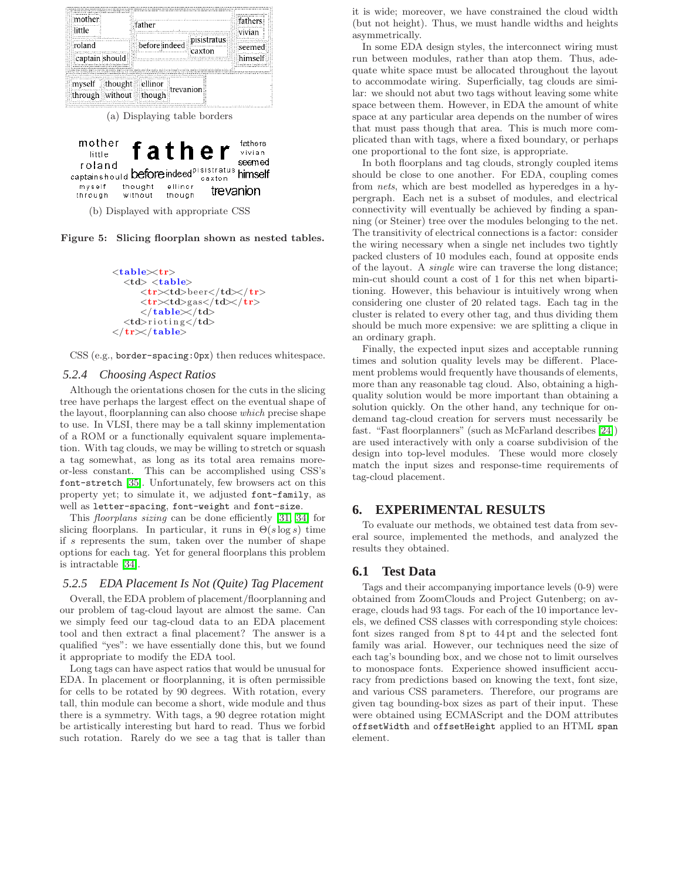

(b) Displayed with appropriate CSS

though

without

through

<span id="page-5-2"></span>Figure 5: Slicing floorplan shown as nested tables.

```
<table<tr><br><td><b>table</b>\langletr>\rangletd>beer\langle/td>\rangletr>\langle \text{tr}\rangle \langle \text{td}\ranglegas\langle \text{td}\rangle \langle \text{tr}\rangle<\!/\text{table}\!\!>\!\!<\!\!/\text{td}\!\!><td>rioting</td>
\langle \rangle tr\langle \rangle table\langle \rangle
```
CSS (e.g., border-spacing:0px) then reduces whitespace.

#### <span id="page-5-0"></span>*5.2.4 Choosing Aspect Ratios*

Although the orientations chosen for the cuts in the slicing tree have perhaps the largest effect on the eventual shape of the layout, floorplanning can also choose which precise shape to use. In VLSI, there may be a tall skinny implementation of a ROM or a functionally equivalent square implementation. With tag clouds, we may be willing to stretch or squash a tag somewhat, as long as its total area remains moreor-less constant. This can be accomplished using CSS's font-stretch [\[35\]](#page-9-31). Unfortunately, few browsers act on this property yet; to simulate it, we adjusted font-family, as well as letter-spacing, font-weight and font-size.

This floorplans sizing can be done efficiently [\[31,](#page-9-32) [34\]](#page-9-30) for slicing floorplans. In particular, it runs in  $\Theta(s \log s)$  time if s represents the sum, taken over the number of shape options for each tag. Yet for general floorplans this problem is intractable [\[34\]](#page-9-30).

#### <span id="page-5-1"></span>*5.2.5 EDA Placement Is Not (Quite) Tag Placement*

Overall, the EDA problem of placement/floorplanning and our problem of tag-cloud layout are almost the same. Can we simply feed our tag-cloud data to an EDA placement tool and then extract a final placement? The answer is a qualified "yes": we have essentially done this, but we found it appropriate to modify the EDA tool.

Long tags can have aspect ratios that would be unusual for EDA. In placement or floorplanning, it is often permissible for cells to be rotated by 90 degrees. With rotation, every tall, thin module can become a short, wide module and thus there is a symmetry. With tags, a 90 degree rotation might be artistically interesting but hard to read. Thus we forbid such rotation. Rarely do we see a tag that is taller than it is wide; moreover, we have constrained the cloud width (but not height). Thus, we must handle widths and heights asymmetrically.

In some EDA design styles, the interconnect wiring must run between modules, rather than atop them. Thus, adequate white space must be allocated throughout the layout to accommodate wiring. Superficially, tag clouds are similar: we should not abut two tags without leaving some white space between them. However, in EDA the amount of white space at any particular area depends on the number of wires that must pass though that area. This is much more complicated than with tags, where a fixed boundary, or perhaps one proportional to the font size, is appropriate.

In both floorplans and tag clouds, strongly coupled items should be close to one another. For EDA, coupling comes from nets, which are best modelled as hyperedges in a hypergraph. Each net is a subset of modules, and electrical connectivity will eventually be achieved by finding a spanning (or Steiner) tree over the modules belonging to the net. The transitivity of electrical connections is a factor: consider the wiring necessary when a single net includes two tightly packed clusters of 10 modules each, found at opposite ends of the layout. A single wire can traverse the long distance; min-cut should count a cost of 1 for this net when bipartitioning. However, this behaviour is intuitively wrong when considering one cluster of 20 related tags. Each tag in the cluster is related to every other tag, and thus dividing them should be much more expensive: we are splitting a clique in an ordinary graph.

Finally, the expected input sizes and acceptable running times and solution quality levels may be different. Placement problems would frequently have thousands of elements, more than any reasonable tag cloud. Also, obtaining a highquality solution would be more important than obtaining a solution quickly. On the other hand, any technique for ondemand tag-cloud creation for servers must necessarily be fast. "Fast floorplanners" (such as McFarland describes [\[24\]](#page-9-33)) are used interactively with only a coarse subdivision of the design into top-level modules. These would more closely match the input sizes and response-time requirements of tag-cloud placement.

## **6. EXPERIMENTAL RESULTS**

To evaluate our methods, we obtained test data from several source, implemented the methods, and analyzed the results they obtained.

#### **6.1 Test Data**

Tags and their accompanying importance levels (0-9) were obtained from ZoomClouds and Project Gutenberg; on average, clouds had 93 tags. For each of the 10 importance levels, we defined CSS classes with corresponding style choices: font sizes ranged from 8 pt to 44 pt and the selected font family was arial. However, our techniques need the size of each tag's bounding box, and we chose not to limit ourselves to monospace fonts. Experience showed insufficient accuracy from predictions based on knowing the text, font size, and various CSS parameters. Therefore, our programs are given tag bounding-box sizes as part of their input. These were obtained using ECMAScript and the DOM attributes offsetWidth and offsetHeight applied to an HTML span element.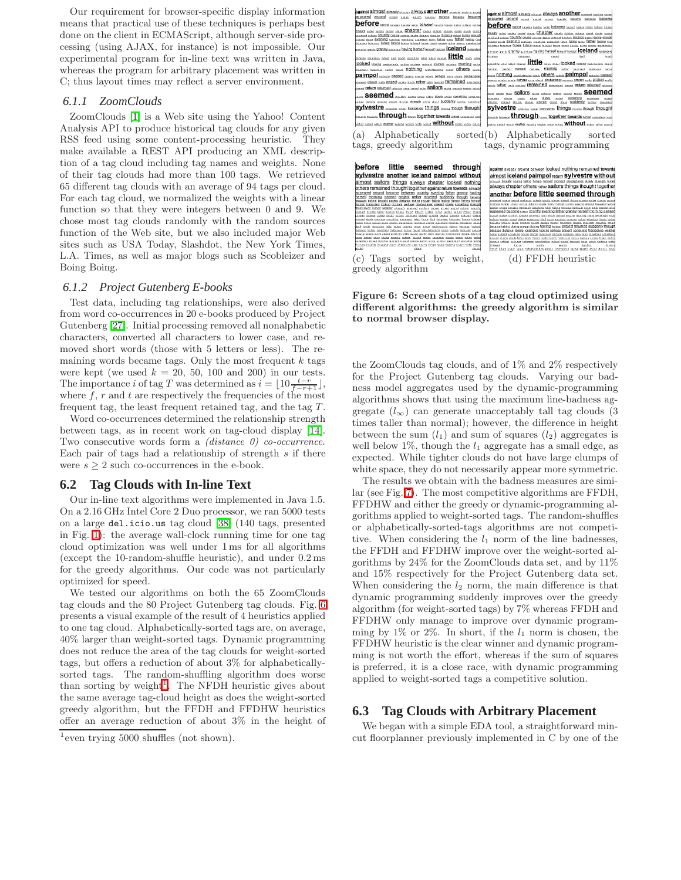Our requirement for browser-specific display information means that practical use of these techniques is perhaps best done on the client in ECMAScript, although server-side processing (using AJAX, for instance) is not impossible. Our experimental program for in-line text was written in Java, whereas the program for arbitrary placement was written in C; thus layout times may reflect a server environment.

#### *6.1.1 ZoomClouds*

ZoomClouds [\[1\]](#page-8-1) is a Web site using the Yahoo! Content Analysis API to produce historical tag clouds for any given RSS feed using some content-processing heuristic. They make available a REST API producing an XML description of a tag cloud including tag names and weights. None of their tag clouds had more than 100 tags. We retrieved 65 different tag clouds with an average of 94 tags per cloud. For each tag cloud, we normalized the weights with a linear function so that they were integers between 0 and 9. We chose most tag clouds randomly with the random sources function of the Web site, but we also included major Web sites such as USA Today, Slashdot, the New York Times, L.A. Times, as well as major blogs such as Scobleizer and Boing Boing.

#### *6.1.2 Project Gutenberg E-books*

Test data, including tag relationships, were also derived from word co-occurrences in 20 e-books produced by Project Gutenberg [\[27\]](#page-9-34). Initial processing removed all nonalphabetic characters, converted all characters to lower case, and removed short words (those with 5 letters or less). The remaining words became tags. Only the most frequent  $k$  tags were kept (we used  $k = 20, 50, 100$  and  $200$ ) in our tests. The importance *i* of tag T was determined as  $i = \lfloor 10 \frac{t-r}{f-r+1} \rfloor$ , where  $f, r$  and  $t$  are respectively the frequencies of the most frequent tag, the least frequent retained tag, and the tag T.

Word co-occurrences determined the relationship strength between tags, as in recent work on tag-cloud display [\[14\]](#page-9-0). Two consecutive words form a *(distance 0)* co-occurrence. Each pair of tags had a relationship of strength  $s$  if there were  $s \geq 2$  such co-occurrences in the e-book.

#### **6.2 Tag Clouds with In-line Text**

Our in-line text algorithms were implemented in Java 1.5. On a 2.16 GHz Intel Core 2 Duo processor, we ran 5000 tests on a large del.icio.us tag cloud [\[38\]](#page-9-9) (140 tags, presented in Fig. [1\)](#page-0-0): the average wall-clock running time for one tag cloud optimization was well under 1 ms for all algorithms (except the 10-random-shuffle heuristic), and under 0.2 ms for the greedy algorithms. Our code was not particularly optimized for speed.

We tested our algorithms on both the 65 ZoomClouds tag clouds and the 80 Project Gutenberg tag clouds. Fig. [6](#page-6-0) presents a visual example of the result of 4 heuristics applied to one tag cloud. Alphabetically-sorted tags are, on average, 40% larger than weight-sorted tags. Dynamic programming does not reduce the area of the tag clouds for weight-sorted tags, but offers a reduction of about 3% for alphabeticallysorted tags. The random-shuffling algorithm does worse than sorting by weight<sup>[1](#page-6-1)</sup>. The NFDH heuristic gives about the same average tag-cloud height as does the weight-sorted greedy algorithm, but the FFDH and FFDHW heuristics offer an average reduction of about 3% in the height of



tags, greedy algorithm tags, dynamic programming

before little seemed through **SYVESTIC another iceland paimpol without**<br>almost sailors things always chapter looked nothing<br>almost sailors things always chapter looked nothing<br>biness remained thought together agents return towards almost<br>anomalous cau



(c) Tags sorted by weight, greedy algorithm

(d) FFDH heuristic

<span id="page-6-0"></span>Figure 6: Screen shots of a tag cloud optimized using different algorithms: the greedy algorithm is similar to normal browser display.

the ZoomClouds tag clouds, and of 1% and 2% respectively for the Project Gutenberg tag clouds. Varying our badness model aggregates used by the dynamic-programming algorithms shows that using the maximum line-badness aggregate  $(l_{\infty})$  can generate unacceptably tall tag clouds (3) times taller than normal); however, the difference in height between the sum  $(l_1)$  and sum of squares  $(l_2)$  aggregates is well below  $1\%$ , though the  $l_1$  aggregate has a small edge, as expected. While tighter clouds do not have large clumps of white space, they do not necessarily appear more symmetric.

The results we obtain with the badness measures are similar (see Fig. [7\)](#page-7-0). The most competitive algorithms are FFDH, FFDHW and either the greedy or dynamic-programming algorithms applied to weight-sorted tags. The random-shuffles or alphabetically-sorted-tags algorithms are not competitive. When considering the  $l_1$  norm of the line badnesses, the FFDH and FFDHW improve over the weight-sorted algorithms by 24% for the ZoomClouds data set, and by 11% and 15% respectively for the Project Gutenberg data set. When considering the  $l_2$  norm, the main difference is that dynamic programming suddenly improves over the greedy algorithm (for weight-sorted tags) by 7% whereas FFDH and FFDHW only manage to improve over dynamic programming by 1% or 2%. In short, if the  $l_1$  norm is chosen, the FFDHW heuristic is the clear winner and dynamic programming is not worth the effort, whereas if the sum of squares is preferred, it is a close race, with dynamic programming applied to weight-sorted tags a competitive solution.

## **6.3 Tag Clouds with Arbitrary Placement**

We began with a simple EDA tool, a straightforward mincut floorplanner previously implemented in C by one of the

<span id="page-6-1"></span><sup>1</sup> even trying 5000 shuffles (not shown).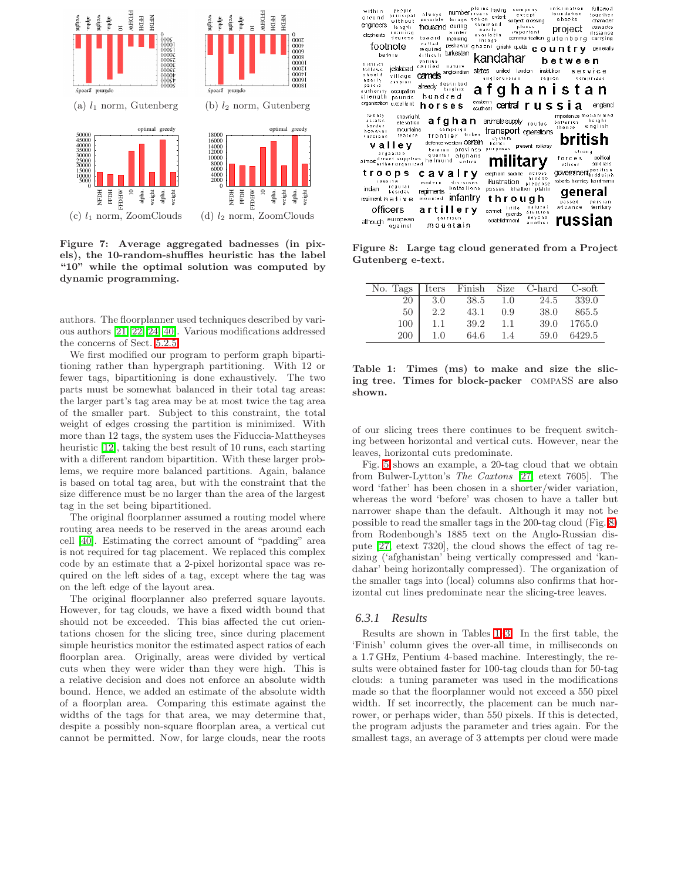

<span id="page-7-0"></span>Figure 7: Average aggregated badnesses (in pixels), the 10-random-shuffles heuristic has the label "10" while the optimal solution was computed by dynamic programming.

authors. The floorplanner used techniques described by various authors [\[21,](#page-9-20) [22,](#page-9-35) [24,](#page-9-33) [40\]](#page-9-36). Various modifications addressed the concerns of Sect. [5.2.5.](#page-5-1)

We first modified our program to perform graph bipartitioning rather than hypergraph partitioning. With 12 or fewer tags, bipartitioning is done exhaustively. The two parts must be somewhat balanced in their total tag areas: the larger part's tag area may be at most twice the tag area of the smaller part. Subject to this constraint, the total weight of edges crossing the partition is minimized. With more than 12 tags, the system uses the Fiduccia-Mattheyses heuristic [\[12\]](#page-9-29), taking the best result of 10 runs, each starting with a different random bipartition. With these larger problems, we require more balanced partitions. Again, balance is based on total tag area, but with the constraint that the size difference must be no larger than the area of the largest tag in the set being bipartitioned.

The original floorplanner assumed a routing model where routing area needs to be reserved in the areas around each cell [\[40\]](#page-9-36). Estimating the correct amount of "padding" area is not required for tag placement. We replaced this complex code by an estimate that a 2-pixel horizontal space was required on the left sides of a tag, except where the tag was on the left edge of the layout area.

The original floorplanner also preferred square layouts. However, for tag clouds, we have a fixed width bound that should not be exceeded. This bias affected the cut orientations chosen for the slicing tree, since during placement simple heuristics monitor the estimated aspect ratios of each floorplan area. Originally, areas were divided by vertical cuts when they were wider than they were high. This is a relative decision and does not enforce an absolute width bound. Hence, we added an estimate of the absolute width of a floorplan area. Comparing this estimate against the widths of the tags for that area, we may determine that, despite a possibly non-square floorplan area, a vertical cut cannot be permitted. Now, for large clouds, near the roots

| people<br>within<br>principal<br>areund<br>without<br>engineers<br>leagth<br>running<br>elephants<br>degrees | number invers<br>always<br>action.<br>possible<br>forage<br>during<br>housand<br>winter<br>toward<br>including | plains having<br>company<br>except<br>extent<br>subject crossing<br>command<br>places<br>easily<br>important<br>availabis<br>communication<br>Ih:nds | followed<br>in formation<br>toundation<br>together<br>ebooks<br>chara der<br>cossacks<br>project<br>distance<br>gutenberg<br>carrving |
|--------------------------------------------------------------------------------------------------------------|----------------------------------------------------------------------------------------------------------------|------------------------------------------------------------------------------------------------------------------------------------------------------|---------------------------------------------------------------------------------------------------------------------------------------|
| footnote                                                                                                     | called<br>pechawur<br>reguired                                                                                 | ghazni girishk quetta                                                                                                                                | country<br>generally                                                                                                                  |
| before                                                                                                       | turkestan<br>driheatt<br>DONIES                                                                                | kandahar                                                                                                                                             | between                                                                                                                               |
| district<br>jelalabad<br>tollows<br>should<br>village<br>nearly<br>caspian                                   | carried<br>nature<br>angloindian<br>carnets                                                                    | states<br>united<br>landan<br>anglorussian                                                                                                           | institution<br>sarvice<br>reqion<br>COM DT ises                                                                                       |
| parsia<br>authority<br>cocuration                                                                            | already described                                                                                              |                                                                                                                                                      | afghanistan                                                                                                                           |
| strength<br>pounds<br>organization excellent                                                                 | hundred                                                                                                        | eastern                                                                                                                                              |                                                                                                                                       |
|                                                                                                              | horses                                                                                                         | centrair ussia<br>scuthem                                                                                                                            | england                                                                                                                               |
| 1% 6 0.1V<br>copyright<br>asialic<br>elevation<br>border<br>mountains<br>however                             | afghan<br>campaign                                                                                             | animals supply<br>routes<br>transport operators                                                                                                      | importance monammed<br>herahi<br>batteries<br>english<br>thence                                                                       |
| ieature<br>russians                                                                                          | tribes<br>frontier                                                                                             | svistem                                                                                                                                              | british                                                                                                                               |
| vallev                                                                                                       | defence we dem COTCIPI<br>province<br>bamian                                                                   | better<br>present railway<br>purposes                                                                                                                |                                                                                                                                       |
| argandab<br>almost direct supplies<br>almost either organized                                                | quarter<br>atghans<br>heimund<br>entire                                                                        | military                                                                                                                                             | 611 o n a<br>political<br>forces<br>soldiers<br>othcer<br>rpositron                                                                   |
| troops                                                                                                       | cavalrv                                                                                                        | elephant saddle<br>across<br>hindoo                                                                                                                  | <b>CKWeitEnerthradaiph</b>                                                                                                            |
| <b>Leseive</b><br>requiar<br>indian                                                                          | $mode+n$<br>divisions<br>battalions                                                                            | illustration<br>presence<br>khaiber pishin<br>passes                                                                                                 | roberts hamley kaufmann                                                                                                               |
| besides<br>regiment hat ive                                                                                  | regiments<br>ınfantry<br>mountad                                                                               | through                                                                                                                                              | aeneral                                                                                                                               |
| officers                                                                                                     |                                                                                                                | naturai<br>l i 1 i le                                                                                                                                | passed<br>persian<br>advance<br>te mitory                                                                                             |
|                                                                                                              | artillery<br>gairisch                                                                                          | cannet<br>division<br>quards<br>bevond                                                                                                               |                                                                                                                                       |
| european<br>athough<br>against                                                                               | mountain                                                                                                       | establishment<br>another                                                                                                                             | russian                                                                                                                               |

<span id="page-7-1"></span>Figure 8: Large tag cloud generated from a Project Gutenberg e-text.

| No. Tags |     |      |     | Iters Finish Size C-hard | C-soft |
|----------|-----|------|-----|--------------------------|--------|
| 20       | 3.0 | 38.5 | 1.0 | 24.5                     | 339.0  |
| 50       | 2.2 | 43.1 | 0.9 | 38.0                     | 865.5  |
| 100      | 1.1 | 39.2 | 1.1 | 39.0                     | 1765.0 |
| 200      | 1.0 | 64.6 | 1.4 | 59.0                     | 6429.5 |

<span id="page-7-2"></span>Table 1: Times (ms) to make and size the slicing tree. Times for block-packer compaSS are also shown.

of our slicing trees there continues to be frequent switching between horizontal and vertical cuts. However, near the leaves, horizontal cuts predominate.

Fig. [5](#page-5-2) shows an example, a 20-tag cloud that we obtain from Bulwer-Lytton's The Caxtons [\[27,](#page-9-34) etext 7605]. The word 'father' has been chosen in a shorter/wider variation, whereas the word 'before' was chosen to have a taller but narrower shape than the default. Although it may not be possible to read the smaller tags in the 200-tag cloud (Fig. [8\)](#page-7-1) from Rodenbough's 1885 text on the Anglo-Russian dispute [\[27,](#page-9-34) etext 7320], the cloud shows the effect of tag resizing ('afghanistan' being vertically compressed and 'kandahar' being horizontally compressed). The organization of the smaller tags into (local) columns also confirms that horizontal cut lines predominate near the slicing-tree leaves.

#### *6.3.1 Results*

Results are shown in Tables [1](#page-7-2)[–3.](#page-8-2) In the first table, the 'Finish' column gives the over-all time, in milliseconds on a 1.7 GHz, Pentium 4-based machine. Interestingly, the results were obtained faster for 100-tag clouds than for 50-tag clouds: a tuning parameter was used in the modifications made so that the floorplanner would not exceed a 550 pixel width. If set incorrectly, the placement can be much narrower, or perhaps wider, than 550 pixels. If this is detected, the program adjusts the parameter and tries again. For the smallest tags, an average of 3 attempts per cloud were made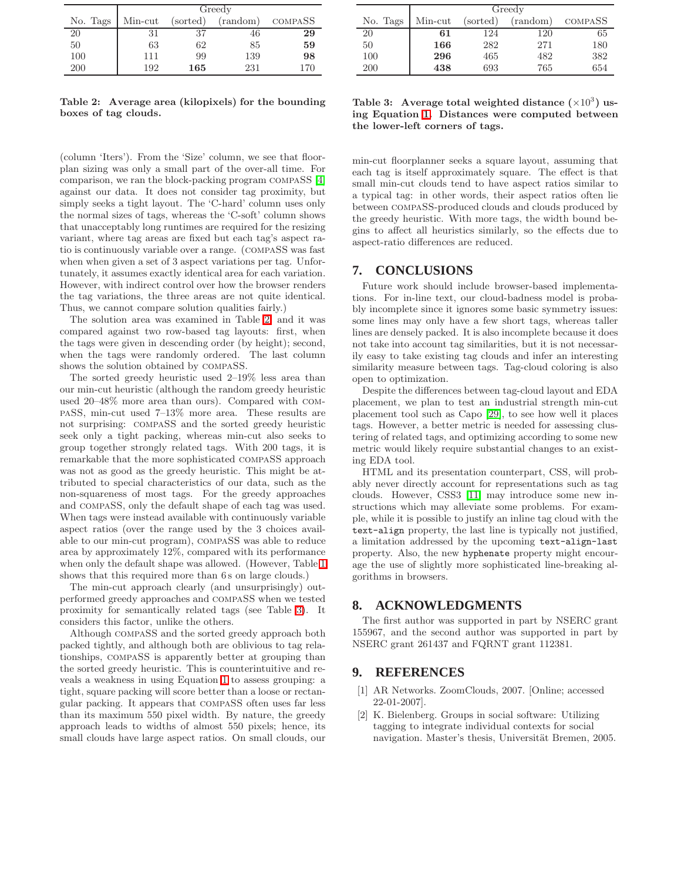|          | Greedy  |          |          |         |
|----------|---------|----------|----------|---------|
| No. Tags | Min-cut | (sorted) | (random) | COMPASS |
| 20       | 31      | 37       | 46       | 29      |
| 50       | 63      | 62       | 85       | 59      |
| 100      | 111     | 99       | 139      | 98      |
| 200      | 192     | 165      | 231      | 170     |

<span id="page-8-3"></span>Table 2: Average area (kilopixels) for the bounding boxes of tag clouds.

(column 'Iters'). From the 'Size' column, we see that floorplan sizing was only a small part of the over-all time. For comparison, we ran the block-packing program compaSS [\[4\]](#page-9-37) against our data. It does not consider tag proximity, but simply seeks a tight layout. The 'C-hard' column uses only the normal sizes of tags, whereas the 'C-soft' column shows that unacceptably long runtimes are required for the resizing variant, where tag areas are fixed but each tag's aspect ratio is continuously variable over a range. (compaSS was fast when when given a set of 3 aspect variations per tag. Unfortunately, it assumes exactly identical area for each variation. However, with indirect control over how the browser renders the tag variations, the three areas are not quite identical. Thus, we cannot compare solution qualities fairly.)

The solution area was examined in Table [2,](#page-8-3) and it was compared against two row-based tag layouts: first, when the tags were given in descending order (by height); second, when the tags were randomly ordered. The last column shows the solution obtained by compaSS.

The sorted greedy heuristic used 2–19% less area than our min-cut heuristic (although the random greedy heuristic used 20–48% more area than ours). Compared with compaSS, min-cut used 7–13% more area. These results are not surprising: compaSS and the sorted greedy heuristic seek only a tight packing, whereas min-cut also seeks to group together strongly related tags. With 200 tags, it is remarkable that the more sophisticated compaSS approach was not as good as the greedy heuristic. This might be attributed to special characteristics of our data, such as the non-squareness of most tags. For the greedy approaches and compaSS, only the default shape of each tag was used. When tags were instead available with continuously variable aspect ratios (over the range used by the 3 choices available to our min-cut program), compaSS was able to reduce area by approximately 12%, compared with its performance when only the default shape was allowed. (However, Table [1](#page-7-2) shows that this required more than 6s on large clouds.)

The min-cut approach clearly (and unsurprisingly) outperformed greedy approaches and compaSS when we tested proximity for semantically related tags (see Table [3\)](#page-8-2). It considers this factor, unlike the others.

Although compaSS and the sorted greedy approach both packed tightly, and although both are oblivious to tag relationships, compaSS is apparently better at grouping than the sorted greedy heuristic. This is counterintuitive and reveals a weakness in using Equation [1](#page-3-0) to assess grouping: a tight, square packing will score better than a loose or rectangular packing. It appears that compaSS often uses far less than its maximum 550 pixel width. By nature, the greedy approach leads to widths of almost 550 pixels; hence, its small clouds have large aspect ratios. On small clouds, our

|          | Greedy  |          |          |         |
|----------|---------|----------|----------|---------|
| No. Tags | Min-cut | (sorted) | (random) | COMPASS |
| 20       | 61      | 124      | 120      | 65      |
| 50       | 166     | 282      | 271      | 180     |
| 100      | 296     | 465      | 482      | 382     |
| 200      | 438     | 693      | 765      | 654     |

<span id="page-8-2"></span>Table 3: Average total weighted distance  $(\times 10^3)$  using Equation [1.](#page-3-0) Distances were computed between the lower-left corners of tags.

min-cut floorplanner seeks a square layout, assuming that each tag is itself approximately square. The effect is that small min-cut clouds tend to have aspect ratios similar to a typical tag: in other words, their aspect ratios often lie between compaSS-produced clouds and clouds produced by the greedy heuristic. With more tags, the width bound begins to affect all heuristics similarly, so the effects due to aspect-ratio differences are reduced.

## **7. CONCLUSIONS**

Future work should include browser-based implementations. For in-line text, our cloud-badness model is probably incomplete since it ignores some basic symmetry issues: some lines may only have a few short tags, whereas taller lines are densely packed. It is also incomplete because it does not take into account tag similarities, but it is not necessarily easy to take existing tag clouds and infer an interesting similarity measure between tags. Tag-cloud coloring is also open to optimization.

Despite the differences between tag-cloud layout and EDA placement, we plan to test an industrial strength min-cut placement tool such as Capo [\[29\]](#page-9-21), to see how well it places tags. However, a better metric is needed for assessing clustering of related tags, and optimizing according to some new metric would likely require substantial changes to an existing EDA tool.

HTML and its presentation counterpart, CSS, will probably never directly account for representations such as tag clouds. However, CSS3 [\[11\]](#page-9-17) may introduce some new instructions which may alleviate some problems. For example, while it is possible to justify an inline tag cloud with the text-align property, the last line is typically not justified, a limitation addressed by the upcoming text-align-last property. Also, the new hyphenate property might encourage the use of slightly more sophisticated line-breaking algorithms in browsers.

## **8. ACKNOWLEDGMENTS**

The first author was supported in part by NSERC grant 155967, and the second author was supported in part by NSERC grant 261437 and FQRNT grant 112381.

## <span id="page-8-1"></span>**9. REFERENCES**

- [1] AR Networks. ZoomClouds, 2007. [Online; accessed 22-01-2007].
- <span id="page-8-0"></span>[2] K. Bielenberg. Groups in social software: Utilizing tagging to integrate individual contexts for social navigation. Master's thesis, Universität Bremen, 2005.